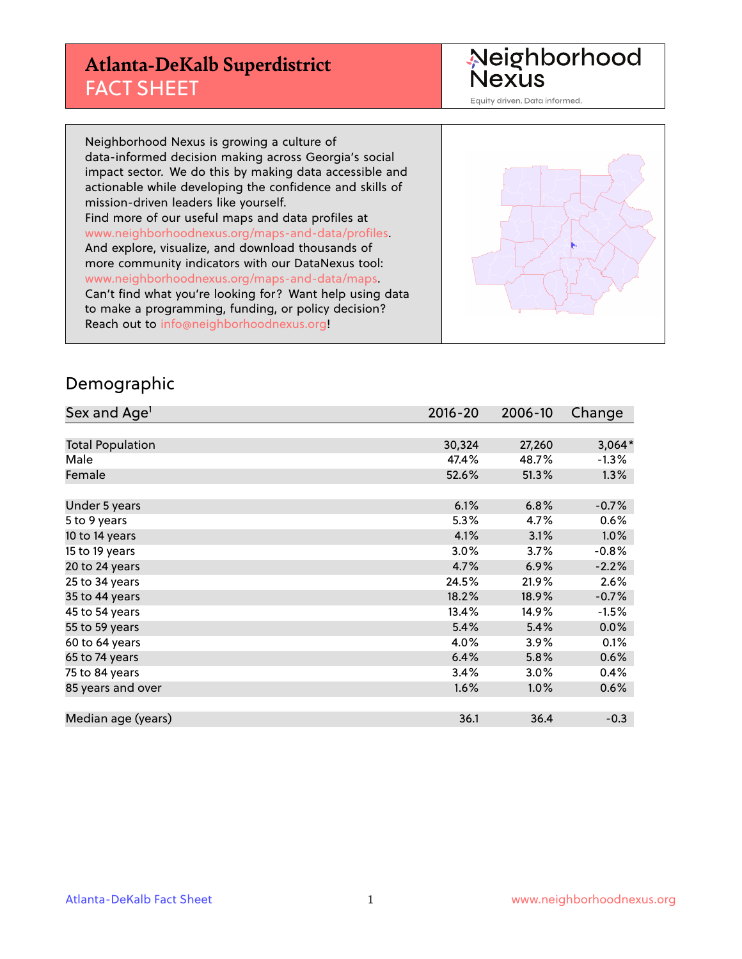## **Atlanta-DeKalb Superdistrict** FACT SHEET

Neighborhood<br>Nexus

Equity driven. Data informed.

Neighborhood Nexus is growing a culture of data-informed decision making across Georgia's social impact sector. We do this by making data accessible and actionable while developing the confidence and skills of mission-driven leaders like yourself. Find more of our useful maps and data profiles at www.neighborhoodnexus.org/maps-and-data/profiles. And explore, visualize, and download thousands of more community indicators with our DataNexus tool: www.neighborhoodnexus.org/maps-and-data/maps. Can't find what you're looking for? Want help using data to make a programming, funding, or policy decision? Reach out to [info@neighborhoodnexus.org!](mailto:info@neighborhoodnexus.org)



#### Demographic

| Sex and Age <sup>1</sup> | $2016 - 20$ | 2006-10 | Change   |
|--------------------------|-------------|---------|----------|
|                          |             |         |          |
| <b>Total Population</b>  | 30,324      | 27,260  | $3,064*$ |
| Male                     | 47.4%       | 48.7%   | $-1.3%$  |
| Female                   | 52.6%       | 51.3%   | 1.3%     |
|                          |             |         |          |
| Under 5 years            | 6.1%        | 6.8%    | $-0.7%$  |
| 5 to 9 years             | 5.3%        | 4.7%    | 0.6%     |
| 10 to 14 years           | 4.1%        | 3.1%    | $1.0\%$  |
| 15 to 19 years           | 3.0%        | 3.7%    | $-0.8%$  |
| 20 to 24 years           | 4.7%        | 6.9%    | $-2.2%$  |
| 25 to 34 years           | 24.5%       | 21.9%   | 2.6%     |
| 35 to 44 years           | 18.2%       | 18.9%   | $-0.7%$  |
| 45 to 54 years           | 13.4%       | 14.9%   | $-1.5%$  |
| 55 to 59 years           | 5.4%        | 5.4%    | 0.0%     |
| 60 to 64 years           | 4.0%        | 3.9%    | 0.1%     |
| 65 to 74 years           | 6.4%        | 5.8%    | 0.6%     |
| 75 to 84 years           | 3.4%        | 3.0%    | 0.4%     |
| 85 years and over        | 1.6%        | 1.0%    | 0.6%     |
|                          |             |         |          |
| Median age (years)       | 36.1        | 36.4    | $-0.3$   |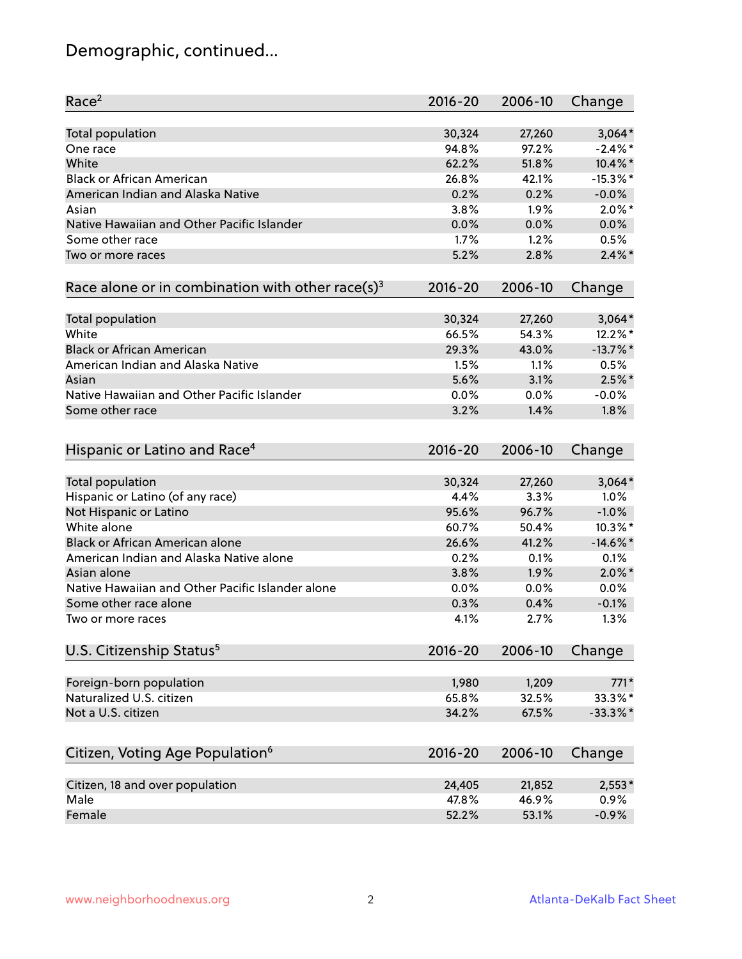# Demographic, continued...

| Race <sup>2</sup>                                            | $2016 - 20$ | 2006-10 | Change      |
|--------------------------------------------------------------|-------------|---------|-------------|
| <b>Total population</b>                                      | 30,324      | 27,260  | $3,064*$    |
| One race                                                     | 94.8%       | 97.2%   | $-2.4\%$ *  |
| White                                                        | 62.2%       | 51.8%   | 10.4%*      |
| <b>Black or African American</b>                             | 26.8%       | 42.1%   | $-15.3\%$ * |
| American Indian and Alaska Native                            | 0.2%        | 0.2%    | $-0.0%$     |
| Asian                                                        | 3.8%        | 1.9%    | $2.0\%$ *   |
| Native Hawaiian and Other Pacific Islander                   | 0.0%        | 0.0%    | 0.0%        |
| Some other race                                              | 1.7%        | 1.2%    | 0.5%        |
| Two or more races                                            | 5.2%        | 2.8%    | $2.4\%$ *   |
| Race alone or in combination with other race(s) <sup>3</sup> | $2016 - 20$ | 2006-10 | Change      |
| Total population                                             | 30,324      | 27,260  | $3,064*$    |
| White                                                        | 66.5%       | 54.3%   | 12.2%*      |
| <b>Black or African American</b>                             | 29.3%       | 43.0%   | $-13.7%$ *  |
| American Indian and Alaska Native                            | 1.5%        | 1.1%    | 0.5%        |
| Asian                                                        | 5.6%        | 3.1%    | $2.5\%$ *   |
| Native Hawaiian and Other Pacific Islander                   | 0.0%        | 0.0%    | $-0.0%$     |
| Some other race                                              | 3.2%        | 1.4%    | 1.8%        |
| Hispanic or Latino and Race <sup>4</sup>                     | $2016 - 20$ | 2006-10 | Change      |
| <b>Total population</b>                                      | 30,324      | 27,260  | $3,064*$    |
| Hispanic or Latino (of any race)                             | 4.4%        | 3.3%    | 1.0%        |
| Not Hispanic or Latino                                       | 95.6%       | 96.7%   | $-1.0%$     |
| White alone                                                  | 60.7%       | 50.4%   | 10.3%*      |
| <b>Black or African American alone</b>                       | 26.6%       | 41.2%   | $-14.6\%$ * |
| American Indian and Alaska Native alone                      | 0.2%        | 0.1%    | 0.1%        |
| Asian alone                                                  | 3.8%        | 1.9%    | $2.0\%$ *   |
| Native Hawaiian and Other Pacific Islander alone             | 0.0%        | 0.0%    | 0.0%        |
| Some other race alone                                        | 0.3%        | 0.4%    | $-0.1%$     |
| Two or more races                                            | 4.1%        | 2.7%    | 1.3%        |
| U.S. Citizenship Status <sup>5</sup>                         | $2016 - 20$ | 2006-10 | Change      |
| Foreign-born population                                      | 1,980       | 1,209   | $771*$      |
| Naturalized U.S. citizen                                     | 65.8%       | 32.5%   | 33.3%*      |
| Not a U.S. citizen                                           | 34.2%       | 67.5%   | $-33.3\%$ * |
|                                                              |             |         |             |
| Citizen, Voting Age Population <sup>6</sup>                  | $2016 - 20$ | 2006-10 | Change      |
| Citizen, 18 and over population                              | 24,405      | 21,852  | $2,553*$    |
| Male                                                         | 47.8%       | 46.9%   | 0.9%        |
| Female                                                       | 52.2%       | 53.1%   | $-0.9%$     |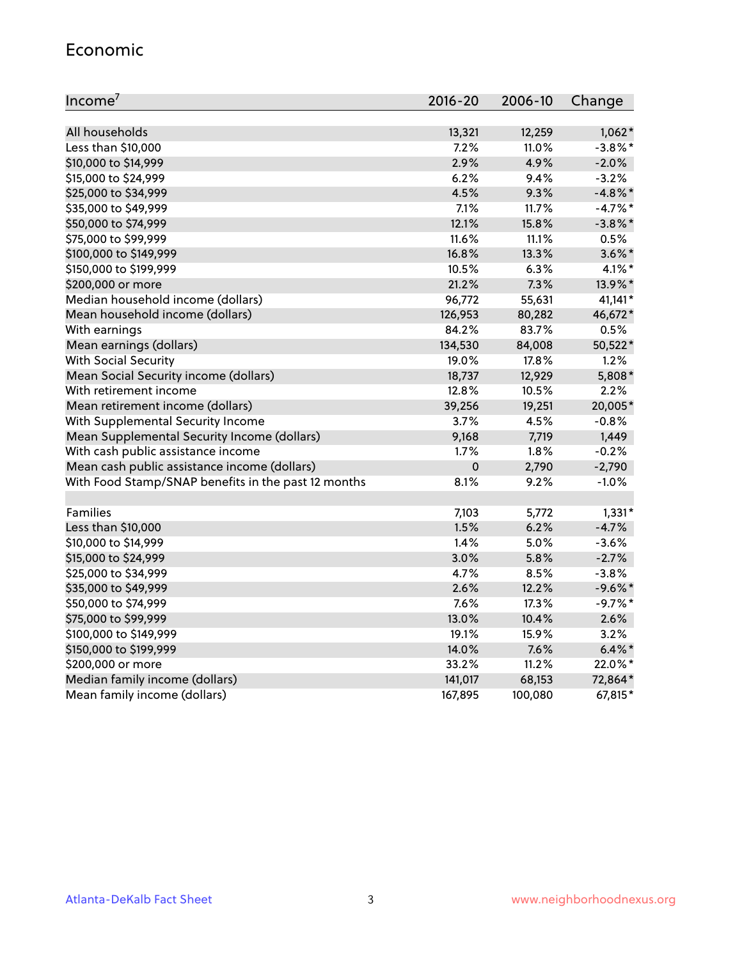#### Economic

| Income <sup>7</sup>                                 | 2016-20     | 2006-10 | Change     |
|-----------------------------------------------------|-------------|---------|------------|
|                                                     |             |         |            |
| All households                                      | 13,321      | 12,259  | $1,062*$   |
| Less than \$10,000                                  | 7.2%        | 11.0%   | $-3.8\%$ * |
| \$10,000 to \$14,999                                | 2.9%        | 4.9%    | $-2.0%$    |
| \$15,000 to \$24,999                                | 6.2%        | 9.4%    | $-3.2%$    |
| \$25,000 to \$34,999                                | 4.5%        | 9.3%    | $-4.8\%$ * |
| \$35,000 to \$49,999                                | 7.1%        | 11.7%   | $-4.7%$ *  |
| \$50,000 to \$74,999                                | 12.1%       | 15.8%   | $-3.8\%$ * |
| \$75,000 to \$99,999                                | 11.6%       | 11.1%   | 0.5%       |
| \$100,000 to \$149,999                              | 16.8%       | 13.3%   | $3.6\%$ *  |
| \$150,000 to \$199,999                              | 10.5%       | 6.3%    | $4.1\%$ *  |
| \$200,000 or more                                   | 21.2%       | 7.3%    | 13.9%*     |
| Median household income (dollars)                   | 96,772      | 55,631  | 41,141*    |
| Mean household income (dollars)                     | 126,953     | 80,282  | 46,672*    |
| With earnings                                       | 84.2%       | 83.7%   | 0.5%       |
| Mean earnings (dollars)                             | 134,530     | 84,008  | 50,522*    |
| <b>With Social Security</b>                         | 19.0%       | 17.8%   | 1.2%       |
| Mean Social Security income (dollars)               | 18,737      | 12,929  | 5,808*     |
| With retirement income                              | 12.8%       | 10.5%   | 2.2%       |
| Mean retirement income (dollars)                    | 39,256      | 19,251  | 20,005*    |
| With Supplemental Security Income                   | 3.7%        | 4.5%    | $-0.8%$    |
| Mean Supplemental Security Income (dollars)         | 9,168       | 7,719   | 1,449      |
| With cash public assistance income                  | 1.7%        | 1.8%    | $-0.2%$    |
| Mean cash public assistance income (dollars)        | $\mathbf 0$ | 2,790   | $-2,790$   |
| With Food Stamp/SNAP benefits in the past 12 months | 8.1%        | 9.2%    | $-1.0%$    |
|                                                     |             |         |            |
| Families                                            | 7,103       | 5,772   | $1,331*$   |
| Less than \$10,000                                  | 1.5%        | 6.2%    | $-4.7%$    |
| \$10,000 to \$14,999                                | 1.4%        | 5.0%    | $-3.6%$    |
| \$15,000 to \$24,999                                | 3.0%        | 5.8%    | $-2.7%$    |
| \$25,000 to \$34,999                                | 4.7%        | 8.5%    | $-3.8%$    |
| \$35,000 to \$49,999                                | 2.6%        | 12.2%   | $-9.6\%$ * |
| \$50,000 to \$74,999                                | 7.6%        | 17.3%   | $-9.7%$ *  |
| \$75,000 to \$99,999                                | 13.0%       | 10.4%   | 2.6%       |
| \$100,000 to \$149,999                              | 19.1%       | 15.9%   | 3.2%       |
| \$150,000 to \$199,999                              | 14.0%       | 7.6%    | $6.4\%$ *  |
| \$200,000 or more                                   | 33.2%       | 11.2%   | 22.0%*     |
| Median family income (dollars)                      | 141,017     | 68,153  | 72,864*    |
| Mean family income (dollars)                        | 167,895     | 100,080 | 67,815*    |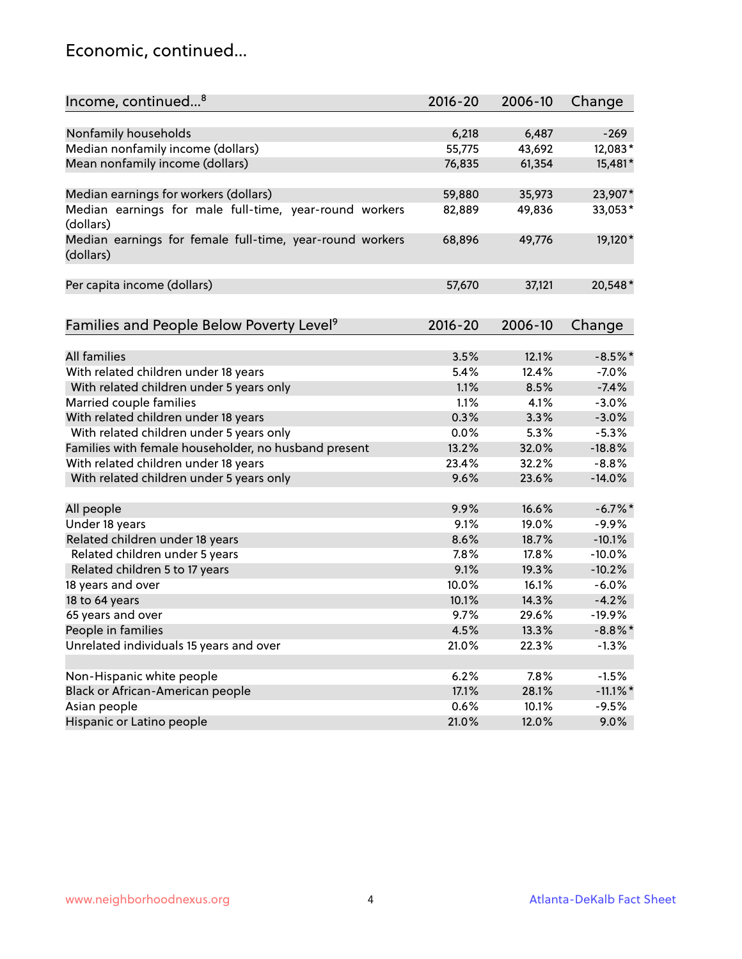#### Economic, continued...

| Income, continued <sup>8</sup>                                        | $2016 - 20$ | 2006-10 | Change      |
|-----------------------------------------------------------------------|-------------|---------|-------------|
|                                                                       |             |         |             |
| Nonfamily households                                                  | 6,218       | 6,487   | $-269$      |
| Median nonfamily income (dollars)                                     | 55,775      | 43,692  | 12,083*     |
| Mean nonfamily income (dollars)                                       | 76,835      | 61,354  | 15,481*     |
| Median earnings for workers (dollars)                                 | 59,880      | 35,973  | 23,907*     |
| Median earnings for male full-time, year-round workers                | 82,889      | 49,836  | 33,053*     |
| (dollars)                                                             |             |         |             |
| Median earnings for female full-time, year-round workers<br>(dollars) | 68,896      | 49,776  | 19,120*     |
| Per capita income (dollars)                                           | 57,670      | 37,121  | 20,548*     |
|                                                                       |             |         |             |
| Families and People Below Poverty Level <sup>9</sup>                  | 2016-20     | 2006-10 | Change      |
|                                                                       |             |         |             |
| <b>All families</b>                                                   | 3.5%        | 12.1%   | $-8.5%$ *   |
| With related children under 18 years                                  | 5.4%        | 12.4%   | $-7.0%$     |
| With related children under 5 years only                              | 1.1%        | 8.5%    | $-7.4%$     |
| Married couple families                                               | 1.1%        | 4.1%    | $-3.0%$     |
| With related children under 18 years                                  | 0.3%        | 3.3%    | $-3.0%$     |
| With related children under 5 years only                              | 0.0%        | 5.3%    | $-5.3%$     |
| Families with female householder, no husband present                  | 13.2%       | 32.0%   | $-18.8%$    |
| With related children under 18 years                                  | 23.4%       | 32.2%   | $-8.8%$     |
| With related children under 5 years only                              | 9.6%        | 23.6%   | $-14.0%$    |
| All people                                                            | 9.9%        | 16.6%   | $-6.7\%$ *  |
| Under 18 years                                                        | 9.1%        | 19.0%   | $-9.9%$     |
| Related children under 18 years                                       | 8.6%        | 18.7%   | $-10.1%$    |
| Related children under 5 years                                        | 7.8%        | 17.8%   | $-10.0%$    |
| Related children 5 to 17 years                                        | 9.1%        | 19.3%   | $-10.2%$    |
| 18 years and over                                                     | 10.0%       | 16.1%   | $-6.0%$     |
| 18 to 64 years                                                        | 10.1%       | 14.3%   | $-4.2%$     |
| 65 years and over                                                     | 9.7%        | 29.6%   | $-19.9%$    |
| People in families                                                    | 4.5%        | 13.3%   | $-8.8\%$ *  |
| Unrelated individuals 15 years and over                               | 21.0%       | 22.3%   | $-1.3%$     |
|                                                                       |             |         |             |
| Non-Hispanic white people                                             | 6.2%        | 7.8%    | $-1.5%$     |
| Black or African-American people                                      | 17.1%       | 28.1%   | $-11.1\%$ * |
| Asian people                                                          | 0.6%        | 10.1%   | $-9.5%$     |
| Hispanic or Latino people                                             | 21.0%       | 12.0%   | 9.0%        |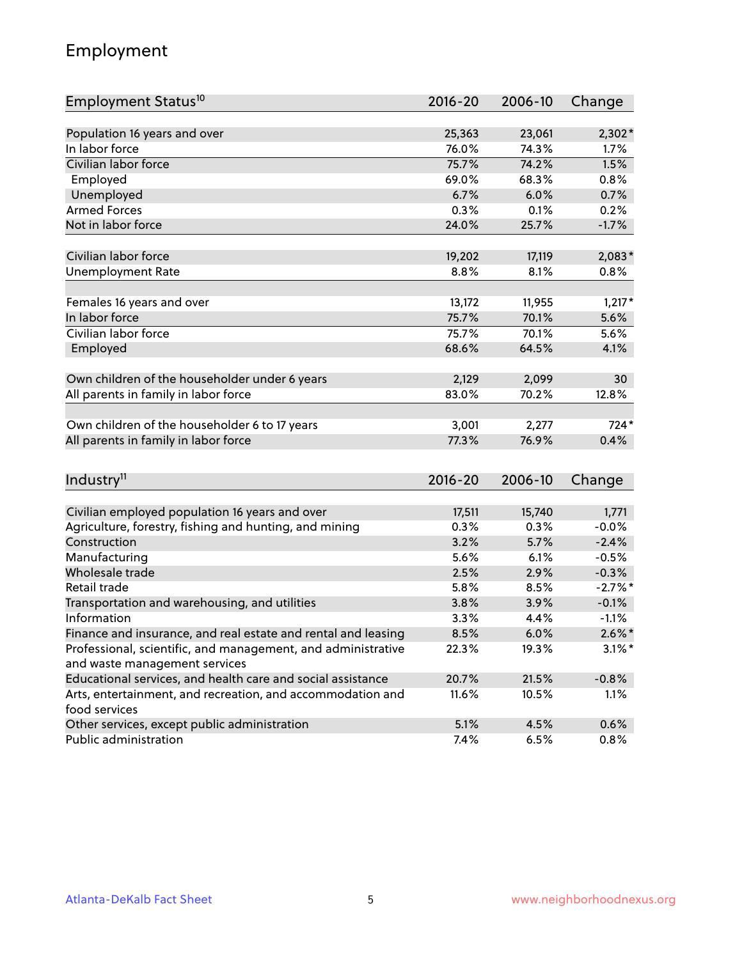## Employment

| Employment Status <sup>10</sup>                               | $2016 - 20$ | 2006-10 | Change     |
|---------------------------------------------------------------|-------------|---------|------------|
|                                                               |             |         |            |
| Population 16 years and over                                  | 25,363      | 23,061  | $2,302*$   |
| In labor force                                                | 76.0%       | 74.3%   | 1.7%       |
| Civilian labor force                                          | 75.7%       | 74.2%   | 1.5%       |
| Employed                                                      | 69.0%       | 68.3%   | 0.8%       |
| Unemployed                                                    | 6.7%        | 6.0%    | 0.7%       |
| <b>Armed Forces</b>                                           | 0.3%        | 0.1%    | 0.2%       |
| Not in labor force                                            | 24.0%       | 25.7%   | $-1.7%$    |
|                                                               |             |         |            |
| Civilian labor force                                          | 19,202      | 17,119  | $2,083*$   |
| <b>Unemployment Rate</b>                                      | 8.8%        | 8.1%    | 0.8%       |
| Females 16 years and over                                     | 13,172      | 11,955  | $1,217*$   |
| In labor force                                                | 75.7%       | 70.1%   | 5.6%       |
| Civilian labor force                                          | 75.7%       | 70.1%   | 5.6%       |
| Employed                                                      | 68.6%       | 64.5%   | 4.1%       |
|                                                               |             |         |            |
| Own children of the householder under 6 years                 | 2,129       | 2,099   | 30         |
| All parents in family in labor force                          | 83.0%       | 70.2%   | 12.8%      |
|                                                               |             |         |            |
| Own children of the householder 6 to 17 years                 | 3,001       | 2,277   | $724*$     |
| All parents in family in labor force                          | 77.3%       | 76.9%   | 0.4%       |
|                                                               |             |         |            |
| Industry <sup>11</sup>                                        | $2016 - 20$ | 2006-10 | Change     |
| Civilian employed population 16 years and over                | 17,511      | 15,740  | 1,771      |
| Agriculture, forestry, fishing and hunting, and mining        | 0.3%        | 0.3%    | $-0.0%$    |
| Construction                                                  | 3.2%        | 5.7%    | $-2.4%$    |
| Manufacturing                                                 | 5.6%        | 6.1%    | $-0.5%$    |
| Wholesale trade                                               | 2.5%        | 2.9%    | $-0.3%$    |
| Retail trade                                                  | 5.8%        | 8.5%    | $-2.7\%$ * |
| Transportation and warehousing, and utilities                 | 3.8%        | 3.9%    | $-0.1%$    |
| Information                                                   | 3.3%        | 4.4%    | $-1.1%$    |
| Finance and insurance, and real estate and rental and leasing | 8.5%        | 6.0%    | $2.6\%$ *  |
| Professional, scientific, and management, and administrative  | 22.3%       | 19.3%   | $3.1\%$ *  |
| and waste management services                                 |             |         |            |
| Educational services, and health care and social assistance   | 20.7%       | 21.5%   | $-0.8%$    |
| Arts, entertainment, and recreation, and accommodation and    | 11.6%       | 10.5%   | 1.1%       |
| food services                                                 |             |         |            |
| Other services, except public administration                  | 5.1%        | 4.5%    | 0.6%       |
| Public administration                                         | 7.4%        | 6.5%    | 0.8%       |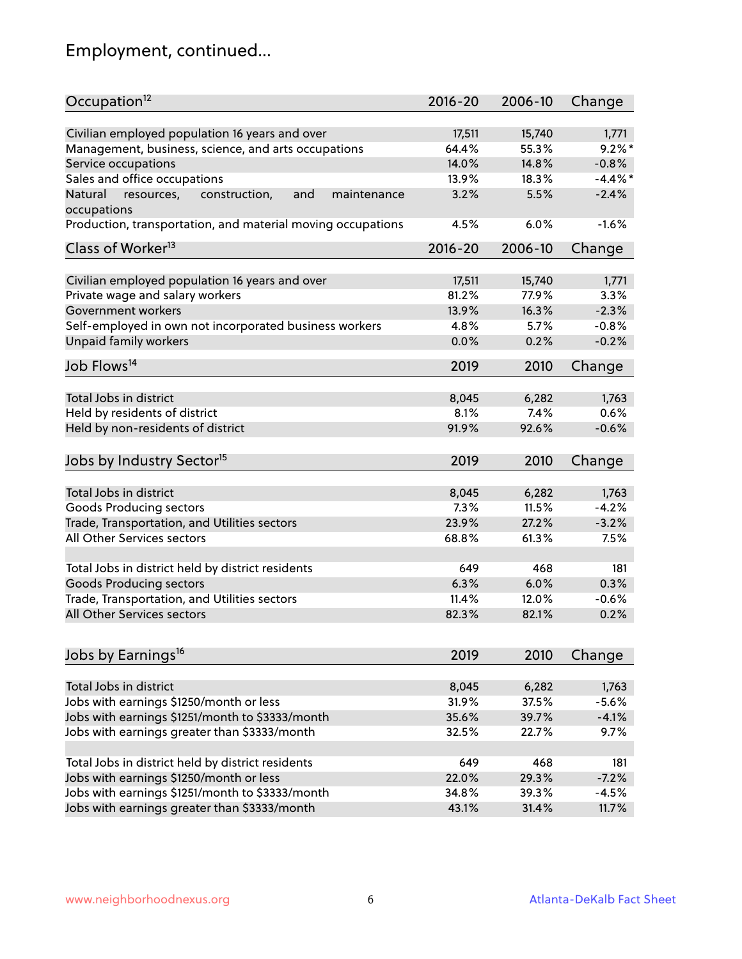# Employment, continued...

| Occupation <sup>12</sup>                                     | $2016 - 20$ | 2006-10 | Change   |
|--------------------------------------------------------------|-------------|---------|----------|
| Civilian employed population 16 years and over               | 17,511      | 15,740  | 1,771    |
| Management, business, science, and arts occupations          | 64.4%       | 55.3%   | $9.2%$ * |
| Service occupations                                          | 14.0%       | 14.8%   | $-0.8%$  |
| Sales and office occupations                                 | 13.9%       | 18.3%   | $-4.4%$  |
| Natural<br>and<br>resources,<br>construction,<br>maintenance | 3.2%        | 5.5%    | $-2.4%$  |
| occupations                                                  |             |         |          |
| Production, transportation, and material moving occupations  | 4.5%        | 6.0%    | $-1.6%$  |
| Class of Worker <sup>13</sup>                                | $2016 - 20$ | 2006-10 | Change   |
|                                                              |             |         |          |
| Civilian employed population 16 years and over               | 17,511      | 15,740  | 1,771    |
| Private wage and salary workers                              | 81.2%       | 77.9%   | 3.3%     |
| Government workers                                           | 13.9%       | 16.3%   | $-2.3%$  |
| Self-employed in own not incorporated business workers       | 4.8%        | 5.7%    | $-0.8%$  |
| <b>Unpaid family workers</b>                                 | 0.0%        | 0.2%    | $-0.2%$  |
| Job Flows <sup>14</sup>                                      | 2019        | 2010    | Change   |
|                                                              |             |         |          |
| Total Jobs in district                                       | 8,045       | 6,282   | 1,763    |
| Held by residents of district                                | 8.1%        | 7.4%    | 0.6%     |
| Held by non-residents of district                            | 91.9%       | 92.6%   | $-0.6%$  |
| Jobs by Industry Sector <sup>15</sup>                        | 2019        | 2010    | Change   |
|                                                              |             |         |          |
| Total Jobs in district                                       | 8,045       | 6,282   | 1,763    |
| Goods Producing sectors                                      | 7.3%        | 11.5%   | $-4.2%$  |
| Trade, Transportation, and Utilities sectors                 | 23.9%       | 27.2%   | $-3.2%$  |
| All Other Services sectors                                   | 68.8%       | 61.3%   | 7.5%     |
| Total Jobs in district held by district residents            | 649         | 468     | 181      |
|                                                              | 6.3%        |         |          |
| <b>Goods Producing sectors</b>                               |             | 6.0%    | 0.3%     |
| Trade, Transportation, and Utilities sectors                 | 11.4%       | 12.0%   | $-0.6%$  |
| All Other Services sectors                                   | 82.3%       | 82.1%   | 0.2%     |
| Jobs by Earnings <sup>16</sup>                               | 2019        | 2010    | Change   |
|                                                              |             |         |          |
| Total Jobs in district                                       | 8,045       | 6,282   | 1,763    |
| Jobs with earnings \$1250/month or less                      | 31.9%       | 37.5%   | $-5.6%$  |
| Jobs with earnings \$1251/month to \$3333/month              | 35.6%       | 39.7%   | $-4.1%$  |
| Jobs with earnings greater than \$3333/month                 | 32.5%       | 22.7%   | 9.7%     |
|                                                              |             |         |          |
| Total Jobs in district held by district residents            | 649         | 468     | 181      |
| Jobs with earnings \$1250/month or less                      | 22.0%       | 29.3%   | $-7.2%$  |
| Jobs with earnings \$1251/month to \$3333/month              | 34.8%       | 39.3%   | $-4.5%$  |
| Jobs with earnings greater than \$3333/month                 | 43.1%       | 31.4%   | 11.7%    |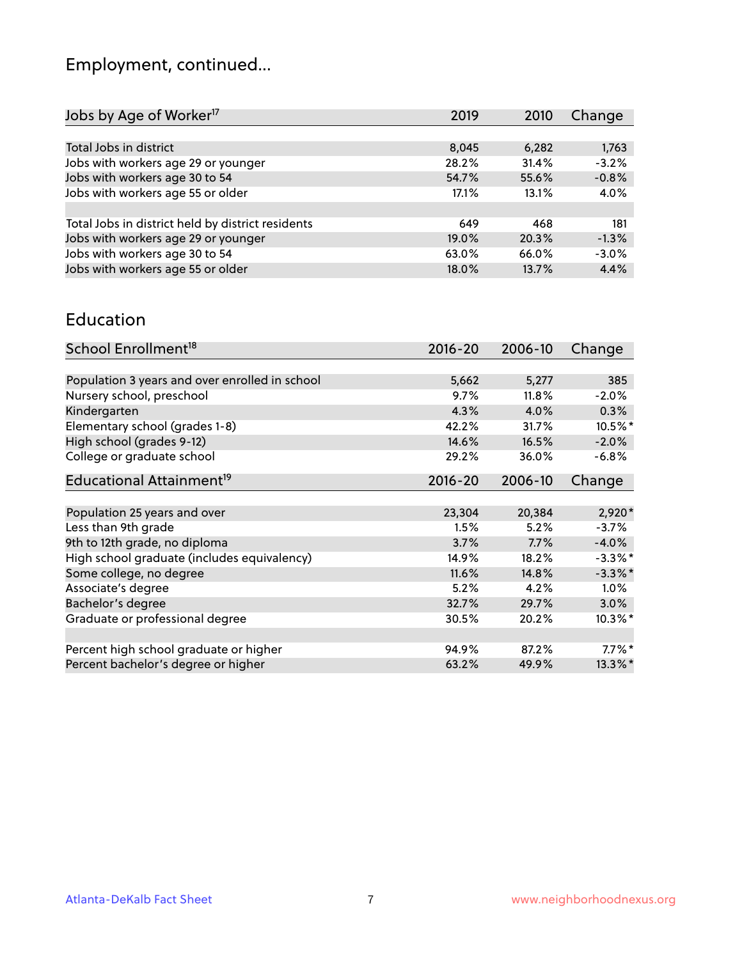# Employment, continued...

| 2019     | 2010  | Change  |
|----------|-------|---------|
|          |       |         |
| 8,045    | 6,282 | 1,763   |
| 28.2%    | 31.4% | $-3.2%$ |
| 54.7%    | 55.6% | $-0.8%$ |
| 17.1%    | 13.1% | 4.0%    |
|          |       |         |
| 649      | 468   | 181     |
| $19.0\%$ | 20.3% | $-1.3%$ |
| 63.0%    | 66.0% | $-3.0%$ |
| 18.0%    | 13.7% | 4.4%    |
|          |       |         |

#### Education

| School Enrollment <sup>18</sup>                | $2016 - 20$ | 2006-10 | Change     |
|------------------------------------------------|-------------|---------|------------|
|                                                |             |         |            |
| Population 3 years and over enrolled in school | 5,662       | 5,277   | 385        |
| Nursery school, preschool                      | 9.7%        | 11.8%   | $-2.0%$    |
| Kindergarten                                   | 4.3%        | 4.0%    | 0.3%       |
| Elementary school (grades 1-8)                 | 42.2%       | 31.7%   | 10.5%*     |
| High school (grades 9-12)                      | 14.6%       | 16.5%   | $-2.0%$    |
| College or graduate school                     | 29.2%       | 36.0%   | $-6.8%$    |
| Educational Attainment <sup>19</sup>           | $2016 - 20$ | 2006-10 | Change     |
|                                                |             |         |            |
| Population 25 years and over                   | 23,304      | 20,384  | $2,920*$   |
| Less than 9th grade                            | 1.5%        | 5.2%    | $-3.7%$    |
| 9th to 12th grade, no diploma                  | 3.7%        | 7.7%    | $-4.0%$    |
| High school graduate (includes equivalency)    | 14.9%       | 18.2%   | $-3.3\%$ * |
| Some college, no degree                        | 11.6%       | 14.8%   | $-3.3\%$ * |
| Associate's degree                             | 5.2%        | 4.2%    | 1.0%       |
| Bachelor's degree                              | 32.7%       | 29.7%   | 3.0%       |
| Graduate or professional degree                | 30.5%       | 20.2%   | $10.3\%$ * |
|                                                |             |         |            |
| Percent high school graduate or higher         | 94.9%       | 87.2%   | $7.7\%$ *  |
| Percent bachelor's degree or higher            | 63.2%       | 49.9%   | 13.3%*     |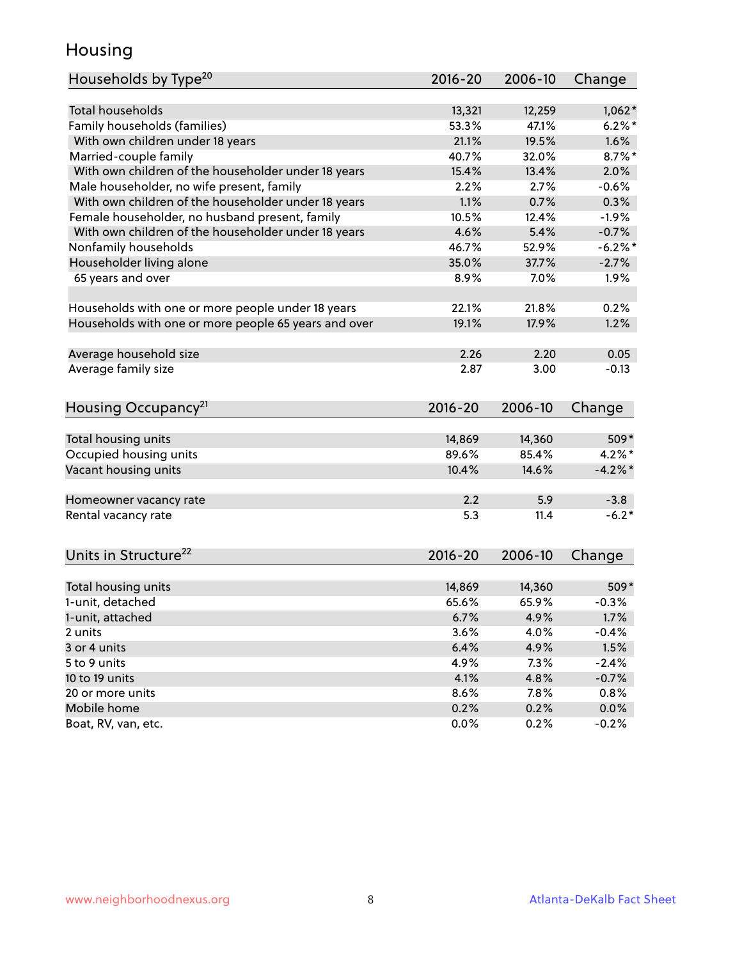## Housing

| Households by Type <sup>20</sup>                     | 2016-20     | 2006-10 | Change    |
|------------------------------------------------------|-------------|---------|-----------|
|                                                      |             |         |           |
| <b>Total households</b>                              | 13,321      | 12,259  | $1,062*$  |
| Family households (families)                         | 53.3%       | 47.1%   | $6.2%$ *  |
| With own children under 18 years                     | 21.1%       | 19.5%   | 1.6%      |
| Married-couple family                                | 40.7%       | 32.0%   | $8.7\%$ * |
| With own children of the householder under 18 years  | 15.4%       | 13.4%   | 2.0%      |
| Male householder, no wife present, family            | 2.2%        | 2.7%    | $-0.6%$   |
| With own children of the householder under 18 years  | 1.1%        | 0.7%    | 0.3%      |
| Female householder, no husband present, family       | 10.5%       | 12.4%   | $-1.9%$   |
| With own children of the householder under 18 years  | 4.6%        | 5.4%    | $-0.7%$   |
| Nonfamily households                                 | 46.7%       | 52.9%   | $-6.2%$   |
| Householder living alone                             | 35.0%       | 37.7%   | $-2.7%$   |
| 65 years and over                                    | 8.9%        | 7.0%    | 1.9%      |
|                                                      |             |         |           |
| Households with one or more people under 18 years    | 22.1%       | 21.8%   | 0.2%      |
| Households with one or more people 65 years and over | 19.1%       | 17.9%   | 1.2%      |
|                                                      |             |         |           |
| Average household size                               | 2.26        | 2.20    | 0.05      |
| Average family size                                  | 2.87        | 3.00    | $-0.13$   |
| Housing Occupancy <sup>21</sup>                      | $2016 - 20$ | 2006-10 | Change    |
|                                                      |             |         |           |
| Total housing units                                  | 14,869      | 14,360  | 509*      |
| Occupied housing units                               | 89.6%       | 85.4%   | $4.2\%$ * |
| Vacant housing units                                 | 10.4%       | 14.6%   | $-4.2%$ * |
|                                                      |             |         |           |
| Homeowner vacancy rate                               | 2.2         | 5.9     | $-3.8$    |
| Rental vacancy rate                                  | 5.3         | 11.4    | $-6.2*$   |
|                                                      |             |         |           |
| Units in Structure <sup>22</sup>                     | 2016-20     | 2006-10 | Change    |
| Total housing units                                  | 14,869      | 14,360  | $509*$    |
| 1-unit, detached                                     | 65.6%       | 65.9%   | $-0.3%$   |
|                                                      | 6.7%        | 4.9%    | 1.7%      |
| 1-unit, attached<br>2 units                          | 3.6%        | 4.0%    | $-0.4%$   |
| 3 or 4 units                                         | 6.4%        | 4.9%    | 1.5%      |
| 5 to 9 units                                         |             |         | $-2.4%$   |
|                                                      | 4.9%        | 7.3%    |           |
| 10 to 19 units                                       | 4.1%        | 4.8%    | $-0.7%$   |
| 20 or more units                                     | 8.6%        | 7.8%    | 0.8%      |
| Mobile home                                          | 0.2%        | 0.2%    | 0.0%      |
| Boat, RV, van, etc.                                  | 0.0%        | 0.2%    | $-0.2%$   |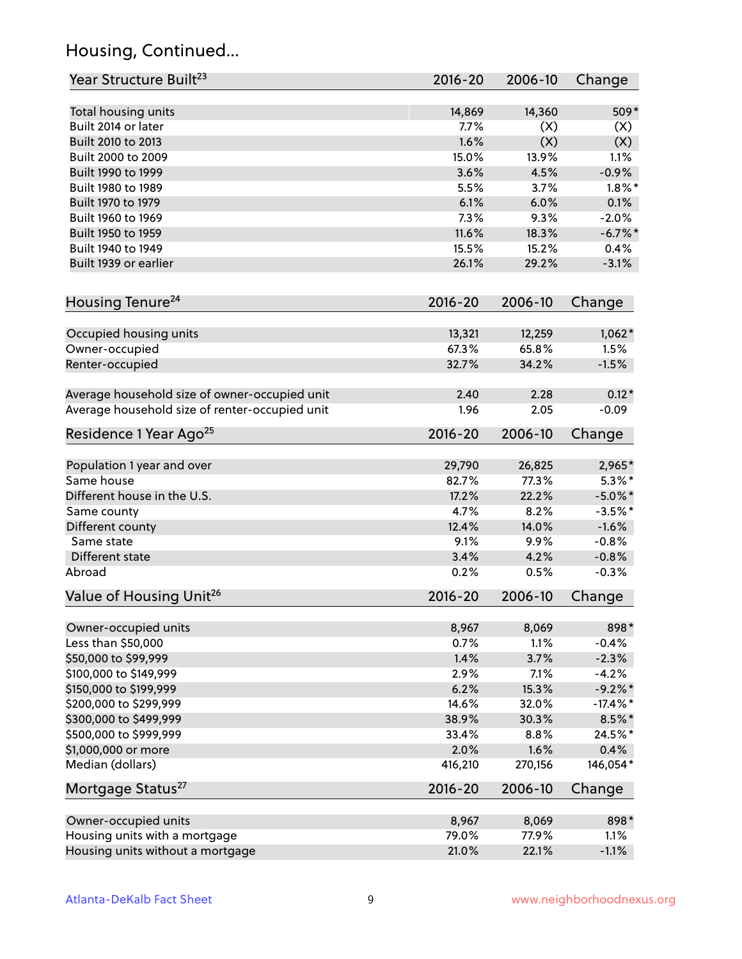## Housing, Continued...

| Year Structure Built <sup>23</sup>             | 2016-20     | 2006-10 | Change      |
|------------------------------------------------|-------------|---------|-------------|
| Total housing units                            | 14,869      | 14,360  | 509*        |
| Built 2014 or later                            | 7.7%        | (X)     | (X)         |
| Built 2010 to 2013                             | 1.6%        | (X)     | (X)         |
| Built 2000 to 2009                             | 15.0%       | 13.9%   | 1.1%        |
| Built 1990 to 1999                             | 3.6%        | 4.5%    | $-0.9%$     |
| Built 1980 to 1989                             | 5.5%        | 3.7%    | $1.8\%$ *   |
| Built 1970 to 1979                             | 6.1%        | 6.0%    | 0.1%        |
| Built 1960 to 1969                             | 7.3%        | 9.3%    | $-2.0%$     |
| Built 1950 to 1959                             | 11.6%       | 18.3%   | $-6.7\%$ *  |
| Built 1940 to 1949                             | 15.5%       | 15.2%   | 0.4%        |
| Built 1939 or earlier                          | 26.1%       | 29.2%   | $-3.1%$     |
| Housing Tenure <sup>24</sup>                   | $2016 - 20$ | 2006-10 | Change      |
|                                                |             |         |             |
| Occupied housing units                         | 13,321      | 12,259  | $1,062*$    |
| Owner-occupied                                 | 67.3%       | 65.8%   | 1.5%        |
| Renter-occupied                                | 32.7%       | 34.2%   | $-1.5%$     |
| Average household size of owner-occupied unit  | 2.40        | 2.28    | $0.12*$     |
| Average household size of renter-occupied unit | 1.96        | 2.05    | $-0.09$     |
| Residence 1 Year Ago <sup>25</sup>             | $2016 - 20$ | 2006-10 | Change      |
|                                                |             |         |             |
| Population 1 year and over                     | 29,790      | 26,825  | 2,965*      |
| Same house                                     | 82.7%       | 77.3%   | $5.3\%$ *   |
| Different house in the U.S.                    | 17.2%       | 22.2%   | $-5.0\%$ *  |
| Same county                                    | 4.7%        | 8.2%    | $-3.5%$ *   |
| Different county                               | 12.4%       | 14.0%   | $-1.6%$     |
| Same state                                     | 9.1%        | 9.9%    | $-0.8%$     |
| Different state                                | 3.4%        | 4.2%    | $-0.8%$     |
| Abroad                                         | 0.2%        | 0.5%    | $-0.3%$     |
| Value of Housing Unit <sup>26</sup>            | $2016 - 20$ | 2006-10 | Change      |
| Owner-occupied units                           | 8,967       | 8,069   | 898*        |
| Less than \$50,000                             | 0.7%        | 1.1%    | $-0.4%$     |
| \$50,000 to \$99,999                           | 1.4%        | 3.7%    | $-2.3%$     |
| \$100,000 to \$149,999                         | 2.9%        | 7.1%    | $-4.2%$     |
| \$150,000 to \$199,999                         | 6.2%        | 15.3%   | $-9.2\%$ *  |
| \$200,000 to \$299,999                         | 14.6%       | 32.0%   | $-17.4\%$ * |
| \$300,000 to \$499,999                         | 38.9%       | 30.3%   | $8.5\%$ *   |
| \$500,000 to \$999,999                         | 33.4%       | 8.8%    | 24.5%*      |
| \$1,000,000 or more                            | 2.0%        | 1.6%    | 0.4%        |
| Median (dollars)                               | 416,210     | 270,156 | 146,054*    |
| Mortgage Status <sup>27</sup>                  | $2016 - 20$ | 2006-10 | Change      |
| Owner-occupied units                           | 8,967       | 8,069   | 898*        |
| Housing units with a mortgage                  | 79.0%       | 77.9%   | 1.1%        |
| Housing units without a mortgage               | 21.0%       | 22.1%   | $-1.1%$     |
|                                                |             |         |             |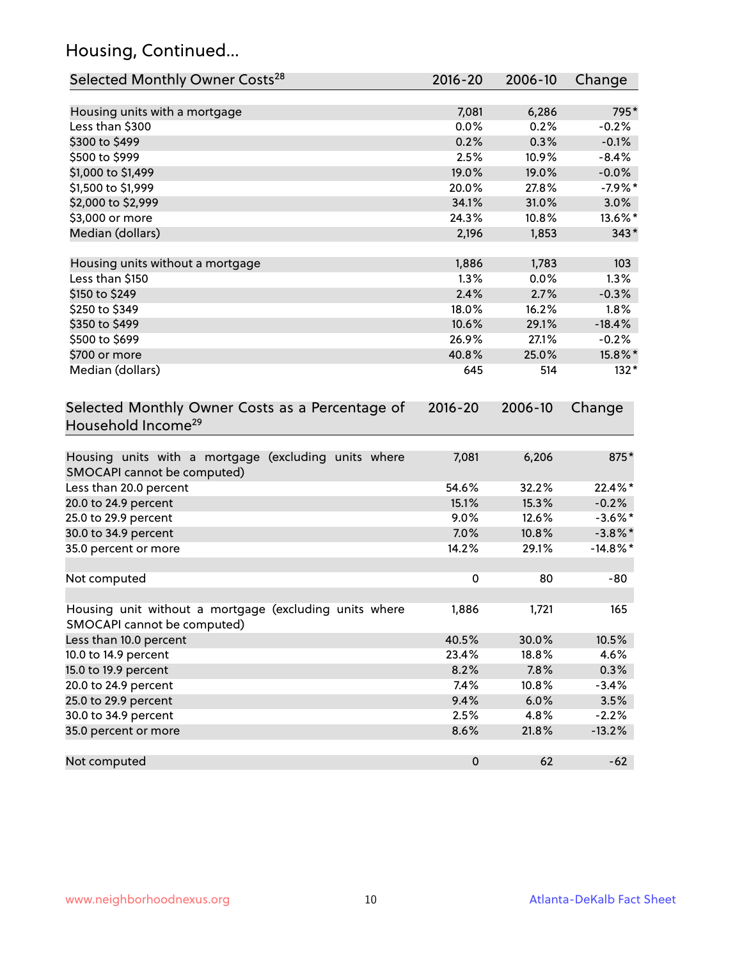## Housing, Continued...

| Selected Monthly Owner Costs <sup>28</sup>                                            | 2016-20     | 2006-10 | Change      |
|---------------------------------------------------------------------------------------|-------------|---------|-------------|
| Housing units with a mortgage                                                         | 7,081       | 6,286   | 795*        |
| Less than \$300                                                                       | 0.0%        | 0.2%    | $-0.2%$     |
| \$300 to \$499                                                                        | 0.2%        | 0.3%    | $-0.1%$     |
| \$500 to \$999                                                                        | 2.5%        | 10.9%   | $-8.4%$     |
| \$1,000 to \$1,499                                                                    | 19.0%       | 19.0%   | $-0.0%$     |
| \$1,500 to \$1,999                                                                    | 20.0%       | 27.8%   | $-7.9%$ *   |
| \$2,000 to \$2,999                                                                    | 34.1%       | 31.0%   | 3.0%        |
| \$3,000 or more                                                                       | 24.3%       | 10.8%   | 13.6%*      |
| Median (dollars)                                                                      | 2,196       | 1,853   | $343*$      |
| Housing units without a mortgage                                                      | 1,886       | 1,783   | 103         |
| Less than \$150                                                                       | 1.3%        | 0.0%    | 1.3%        |
| \$150 to \$249                                                                        | 2.4%        | 2.7%    | $-0.3%$     |
| \$250 to \$349                                                                        | 18.0%       | 16.2%   | 1.8%        |
| \$350 to \$499                                                                        | 10.6%       | 29.1%   | $-18.4%$    |
| \$500 to \$699                                                                        | 26.9%       | 27.1%   | $-0.2%$     |
| \$700 or more                                                                         | 40.8%       | 25.0%   | 15.8%*      |
| Median (dollars)                                                                      | 645         | 514     | $132*$      |
| Selected Monthly Owner Costs as a Percentage of<br>Household Income <sup>29</sup>     | $2016 - 20$ | 2006-10 | Change      |
| Housing units with a mortgage (excluding units where<br>SMOCAPI cannot be computed)   | 7,081       | 6,206   | 875*        |
| Less than 20.0 percent                                                                | 54.6%       | 32.2%   | 22.4%*      |
| 20.0 to 24.9 percent                                                                  | 15.1%       | 15.3%   | $-0.2%$     |
| 25.0 to 29.9 percent                                                                  | 9.0%        | 12.6%   | $-3.6\%$ *  |
| 30.0 to 34.9 percent                                                                  | 7.0%        | 10.8%   | $-3.8\%$ *  |
| 35.0 percent or more                                                                  | 14.2%       | 29.1%   | $-14.8\%$ * |
| Not computed                                                                          | $\pmb{0}$   | 80      | $-80$       |
| Housing unit without a mortgage (excluding units where<br>SMOCAPI cannot be computed) | 1,886       | 1,721   | 165         |
| Less than 10.0 percent                                                                | 40.5%       | 30.0%   | 10.5%       |
| 10.0 to 14.9 percent                                                                  | 23.4%       | 18.8%   | 4.6%        |
| 15.0 to 19.9 percent                                                                  | 8.2%        | 7.8%    | 0.3%        |
| 20.0 to 24.9 percent                                                                  | 7.4%        | 10.8%   | $-3.4%$     |
| 25.0 to 29.9 percent                                                                  | 9.4%        | 6.0%    | 3.5%        |
| 30.0 to 34.9 percent                                                                  | 2.5%        | 4.8%    | $-2.2%$     |
| 35.0 percent or more                                                                  | 8.6%        | 21.8%   | $-13.2%$    |
| Not computed                                                                          | $\pmb{0}$   | 62      | $-62$       |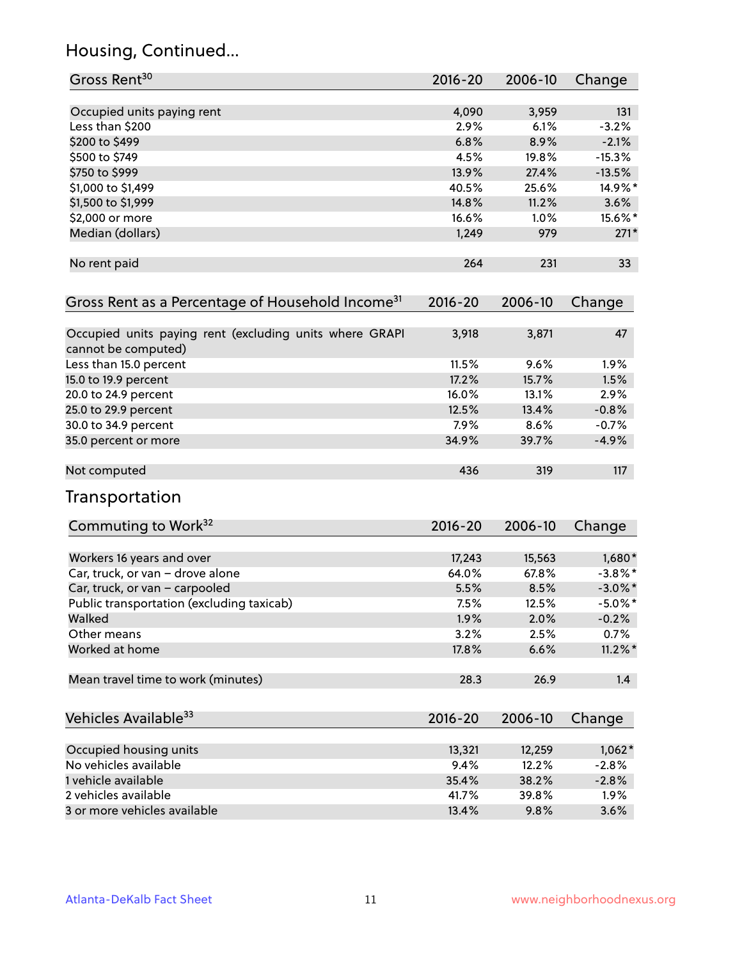## Housing, Continued...

| Gross Rent <sup>30</sup>                                                       | 2016-20     | 2006-10 | Change     |
|--------------------------------------------------------------------------------|-------------|---------|------------|
| Occupied units paying rent                                                     | 4,090       | 3,959   | 131        |
| Less than \$200                                                                | 2.9%        | 6.1%    | $-3.2%$    |
| \$200 to \$499                                                                 | 6.8%        | 8.9%    | $-2.1%$    |
| \$500 to \$749                                                                 | 4.5%        | 19.8%   | $-15.3%$   |
| \$750 to \$999                                                                 | 13.9%       | 27.4%   | $-13.5%$   |
| \$1,000 to \$1,499                                                             | 40.5%       | 25.6%   | 14.9%*     |
| \$1,500 to \$1,999                                                             | 14.8%       | 11.2%   | 3.6%       |
| \$2,000 or more                                                                | 16.6%       | 1.0%    | 15.6%*     |
| Median (dollars)                                                               | 1,249       | 979     | $271*$     |
| No rent paid                                                                   | 264         | 231     | 33         |
| Gross Rent as a Percentage of Household Income <sup>31</sup>                   | $2016 - 20$ | 2006-10 | Change     |
| Occupied units paying rent (excluding units where GRAPI<br>cannot be computed) | 3,918       | 3,871   | 47         |
| Less than 15.0 percent                                                         | 11.5%       | 9.6%    | 1.9%       |
| 15.0 to 19.9 percent                                                           | 17.2%       | 15.7%   | 1.5%       |
| 20.0 to 24.9 percent                                                           | 16.0%       | 13.1%   | 2.9%       |
| 25.0 to 29.9 percent                                                           | 12.5%       | 13.4%   | $-0.8%$    |
| 30.0 to 34.9 percent                                                           | 7.9%        | 8.6%    | $-0.7%$    |
| 35.0 percent or more                                                           | 34.9%       | 39.7%   | $-4.9%$    |
| Not computed                                                                   | 436         | 319     | 117        |
| Transportation                                                                 |             |         |            |
| Commuting to Work <sup>32</sup>                                                | 2016-20     | 2006-10 | Change     |
| Workers 16 years and over                                                      | 17,243      | 15,563  | 1,680*     |
| Car, truck, or van - drove alone                                               | 64.0%       | 67.8%   | $-3.8\%$ * |
| Car, truck, or van - carpooled                                                 | 5.5%        | 8.5%    | $-3.0\%$ * |
| Public transportation (excluding taxicab)                                      | 7.5%        | 12.5%   | $-5.0\%$ * |
| Walked                                                                         | 1.9%        | 2.0%    | $-0.2%$    |
| Other means                                                                    | 3.2%        | 2.5%    | 0.7%       |
| Worked at home                                                                 | 17.8%       | 6.6%    | $11.2\%$ * |
| Mean travel time to work (minutes)                                             | 28.3        | 26.9    | 1.4        |
| Vehicles Available <sup>33</sup>                                               | 2016-20     | 2006-10 | Change     |
| Occupied housing units                                                         | 13,321      | 12,259  | $1,062*$   |
| No vehicles available                                                          | 9.4%        | 12.2%   | $-2.8%$    |
| 1 vehicle available                                                            | 35.4%       | 38.2%   | $-2.8%$    |
| 2 vehicles available                                                           | 41.7%       | 39.8%   | 1.9%       |
| 3 or more vehicles available                                                   | 13.4%       | 9.8%    | 3.6%       |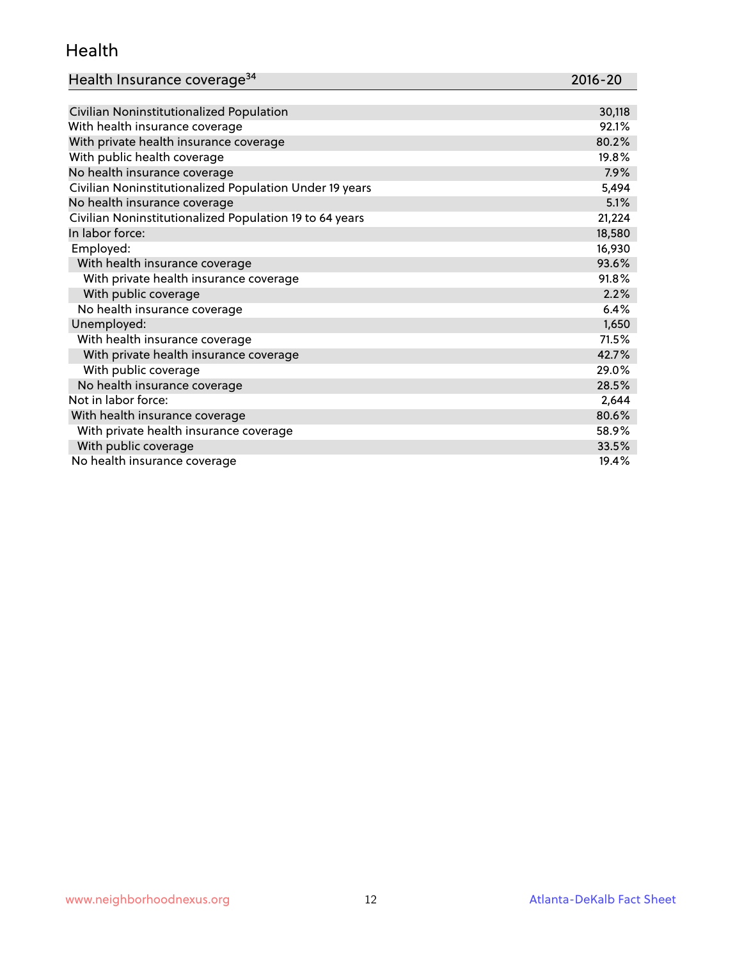#### Health

| Health Insurance coverage <sup>34</sup> | 2016-20 |
|-----------------------------------------|---------|
|-----------------------------------------|---------|

| Civilian Noninstitutionalized Population                | 30,118 |
|---------------------------------------------------------|--------|
| With health insurance coverage                          | 92.1%  |
| With private health insurance coverage                  | 80.2%  |
| With public health coverage                             | 19.8%  |
| No health insurance coverage                            | 7.9%   |
| Civilian Noninstitutionalized Population Under 19 years | 5,494  |
| No health insurance coverage                            | 5.1%   |
| Civilian Noninstitutionalized Population 19 to 64 years | 21,224 |
| In labor force:                                         | 18,580 |
| Employed:                                               | 16,930 |
| With health insurance coverage                          | 93.6%  |
| With private health insurance coverage                  | 91.8%  |
| With public coverage                                    | 2.2%   |
| No health insurance coverage                            | 6.4%   |
| Unemployed:                                             | 1,650  |
| With health insurance coverage                          | 71.5%  |
| With private health insurance coverage                  | 42.7%  |
| With public coverage                                    | 29.0%  |
| No health insurance coverage                            | 28.5%  |
| Not in labor force:                                     | 2,644  |
| With health insurance coverage                          | 80.6%  |
| With private health insurance coverage                  | 58.9%  |
| With public coverage                                    | 33.5%  |
| No health insurance coverage                            | 19.4%  |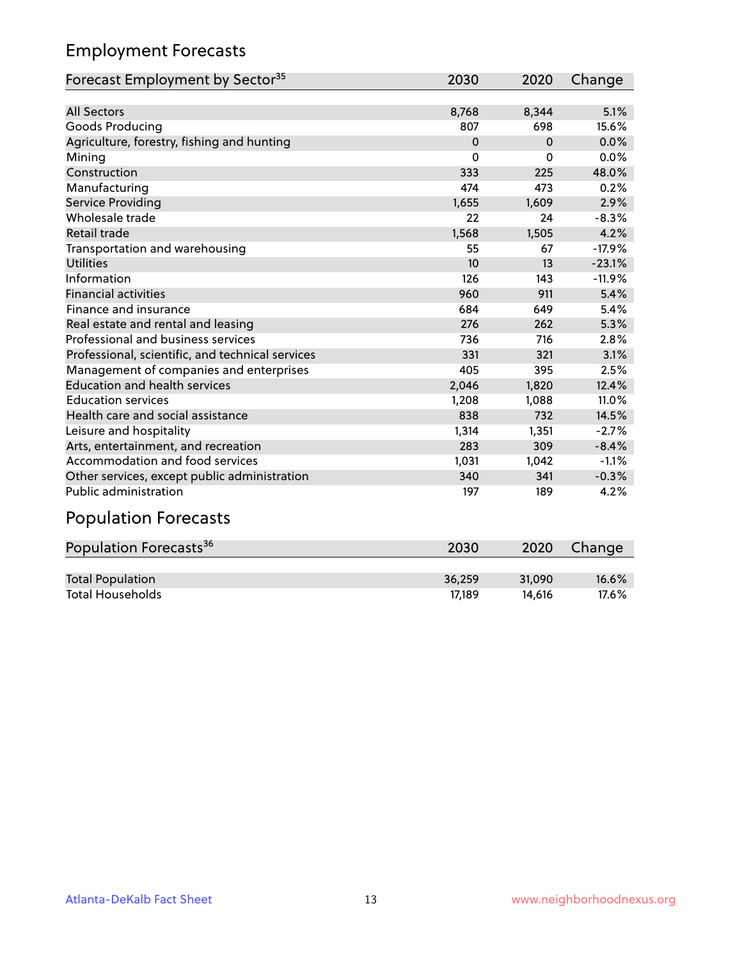## Employment Forecasts

| Forecast Employment by Sector <sup>35</sup>      | 2030     | 2020     | Change   |
|--------------------------------------------------|----------|----------|----------|
|                                                  |          |          |          |
| <b>All Sectors</b>                               | 8,768    | 8,344    | 5.1%     |
| Goods Producing                                  | 807      | 698      | 15.6%    |
| Agriculture, forestry, fishing and hunting       | $\Omega$ | $\Omega$ | 0.0%     |
| Mining                                           | 0        | $\Omega$ | 0.0%     |
| Construction                                     | 333      | 225      | 48.0%    |
| Manufacturing                                    | 474      | 473      | 0.2%     |
| Service Providing                                | 1,655    | 1,609    | 2.9%     |
| Wholesale trade                                  | 22       | 24       | $-8.3%$  |
| <b>Retail trade</b>                              | 1,568    | 1,505    | 4.2%     |
| Transportation and warehousing                   | 55       | 67       | $-17.9%$ |
| <b>Utilities</b>                                 | 10       | 13       | $-23.1%$ |
| Information                                      | 126      | 143      | $-11.9%$ |
| <b>Financial activities</b>                      | 960      | 911      | 5.4%     |
| Finance and insurance                            | 684      | 649      | 5.4%     |
| Real estate and rental and leasing               | 276      | 262      | 5.3%     |
| Professional and business services               | 736      | 716      | 2.8%     |
| Professional, scientific, and technical services | 331      | 321      | 3.1%     |
| Management of companies and enterprises          | 405      | 395      | 2.5%     |
| <b>Education and health services</b>             | 2,046    | 1,820    | 12.4%    |
| <b>Education services</b>                        | 1,208    | 1,088    | 11.0%    |
| Health care and social assistance                | 838      | 732      | 14.5%    |
| Leisure and hospitality                          | 1,314    | 1,351    | $-2.7%$  |
| Arts, entertainment, and recreation              | 283      | 309      | $-8.4%$  |
| Accommodation and food services                  | 1,031    | 1,042    | $-1.1%$  |
| Other services, except public administration     | 340      | 341      | $-0.3%$  |
| <b>Public administration</b>                     | 197      | 189      | 4.2%     |
| .                                                |          |          |          |

#### Population Forecasts

| Population Forecasts <sup>36</sup> | 2030   | 2020   | Change   |
|------------------------------------|--------|--------|----------|
|                                    |        |        |          |
| <b>Total Population</b>            | 36.259 | 31.090 | $16.6\%$ |
| <b>Total Households</b>            | 17.189 | 14.616 | 17.6%    |